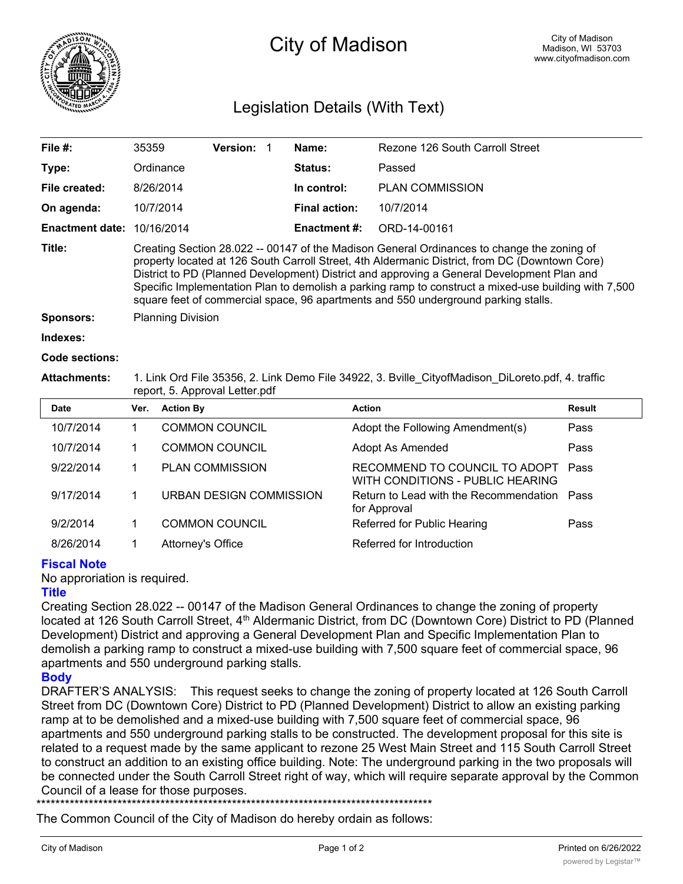

# City of Madison

# Legislation Details (With Text)

| File $#$ :             | 35359                                                                                                                                                                                                                                                                                                                                                                                                                                                                                    | <b>Version:</b> |  | Name:                | Rezone 126 South Carroll Street |  |  |
|------------------------|------------------------------------------------------------------------------------------------------------------------------------------------------------------------------------------------------------------------------------------------------------------------------------------------------------------------------------------------------------------------------------------------------------------------------------------------------------------------------------------|-----------------|--|----------------------|---------------------------------|--|--|
| Type:                  | Ordinance                                                                                                                                                                                                                                                                                                                                                                                                                                                                                |                 |  | Status:              | Passed                          |  |  |
| File created:          | 8/26/2014                                                                                                                                                                                                                                                                                                                                                                                                                                                                                |                 |  | In control:          | <b>PLAN COMMISSION</b>          |  |  |
| On agenda:             | 10/7/2014                                                                                                                                                                                                                                                                                                                                                                                                                                                                                |                 |  | <b>Final action:</b> | 10/7/2014                       |  |  |
| <b>Enactment date:</b> | 10/16/2014                                                                                                                                                                                                                                                                                                                                                                                                                                                                               |                 |  | <b>Enactment #:</b>  | ORD-14-00161                    |  |  |
| Title:                 | Creating Section 28.022 -- 00147 of the Madison General Ordinances to change the zoning of<br>property located at 126 South Carroll Street, 4th Aldermanic District, from DC (Downtown Core)<br>District to PD (Planned Development) District and approving a General Development Plan and<br>Specific Implementation Plan to demolish a parking ramp to construct a mixed-use building with 7,500<br>square feet of commercial space, 96 apartments and 550 underground parking stalls. |                 |  |                      |                                 |  |  |
| <b>Sponsors:</b>       | <b>Planning Division</b>                                                                                                                                                                                                                                                                                                                                                                                                                                                                 |                 |  |                      |                                 |  |  |
| Indexes:               |                                                                                                                                                                                                                                                                                                                                                                                                                                                                                          |                 |  |                      |                                 |  |  |

#### **Code sections:**

#### **Attachments:** 1. Link Ord File 35356, 2. Link Demo File 34922, 3. Bville\_CityofMadison\_DiLoreto.pdf, 4. traffic report, 5. Approval Letter.pdf

| <b>Date</b> | Ver. | <b>Action By</b>               | <b>Action</b>                                                     | <b>Result</b> |
|-------------|------|--------------------------------|-------------------------------------------------------------------|---------------|
| 10/7/2014   |      | <b>COMMON COUNCIL</b>          | Adopt the Following Amendment(s)                                  | Pass          |
| 10/7/2014   |      | <b>COMMON COUNCIL</b>          | Adopt As Amended                                                  | Pass          |
| 9/22/2014   |      | <b>PLAN COMMISSION</b>         | RECOMMEND TO COUNCIL TO ADOPT<br>WITH CONDITIONS - PUBLIC HEARING | Pass          |
| 9/17/2014   |      | <b>URBAN DESIGN COMMISSION</b> | Return to Lead with the Recommendation Pass<br>for Approval       |               |
| 9/2/2014    |      | <b>COMMON COUNCIL</b>          | Referred for Public Hearing                                       | Pass          |
| 8/26/2014   |      | Attorney's Office              | Referred for Introduction                                         |               |

## **Fiscal Note**

No approriation is required.

#### **Title**

Creating Section 28.022 -- 00147 of the Madison General Ordinances to change the zoning of property located at 126 South Carroll Street, 4<sup>th</sup> Aldermanic District, from DC (Downtown Core) District to PD (Planned Development) District and approving a General Development Plan and Specific Implementation Plan to demolish a parking ramp to construct a mixed-use building with 7,500 square feet of commercial space, 96 apartments and 550 underground parking stalls.

## **Body**

DRAFTER'S ANALYSIS: This request seeks to change the zoning of property located at 126 South Carroll Street from DC (Downtown Core) District to PD (Planned Development) District to allow an existing parking ramp at to be demolished and a mixed-use building with 7,500 square feet of commercial space, 96 apartments and 550 underground parking stalls to be constructed. The development proposal for this site is related to a request made by the same applicant to rezone 25 West Main Street and 115 South Carroll Street to construct an addition to an existing office building. Note: The underground parking in the two proposals will be connected under the South Carroll Street right of way, which will require separate approval by the Common Council of a lease for those purposes.

\*\*\*\*\*\*\*\*\*\*\*\*\*\*\*\*\*\*\*\*\*\*\*\*\*\*\*\*\*\*\*\*\*\*\*\*\*\*\*\*\*\*\*\*\*\*\*\*\*\*\*\*\*\*\*\*\*\*\*\*\*\*\*\*\*\*\*\*\*\*\*\*\*\*\*\*\*\*\*\*\*\*\*

The Common Council of the City of Madison do hereby ordain as follows: